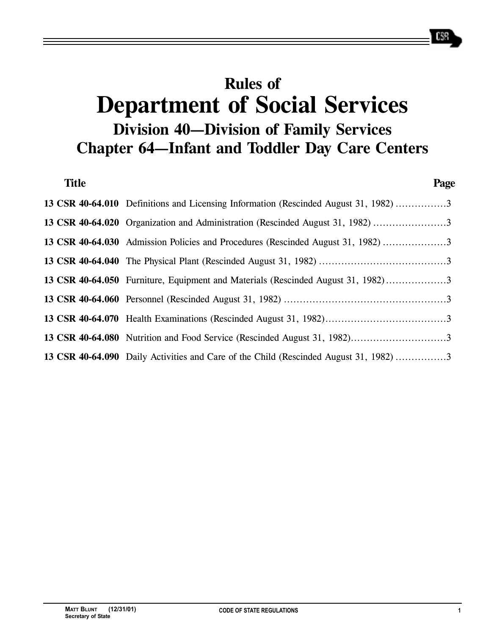# **Rules of Department of Social Services Division 40—Division of Family Services Chapter 64—Infant and Toddler Day Care Centers**

| <b>Title</b> |                                                                                       | Page |
|--------------|---------------------------------------------------------------------------------------|------|
|              | 13 CSR 40-64.010 Definitions and Licensing Information (Rescinded August 31, 1982) 3  |      |
|              | 13 CSR 40-64.020 Organization and Administration (Rescinded August 31, 1982) 3        |      |
|              | 13 CSR 40-64.030 Admission Policies and Procedures (Rescinded August 31, 1982) 3      |      |
|              |                                                                                       |      |
|              | 13 CSR 40-64.050 Furniture, Equipment and Materials (Rescinded August 31, 1982)3      |      |
|              |                                                                                       |      |
|              |                                                                                       |      |
|              |                                                                                       |      |
|              | 13 CSR 40-64.090 Daily Activities and Care of the Child (Rescinded August 31, 1982) 3 |      |

658